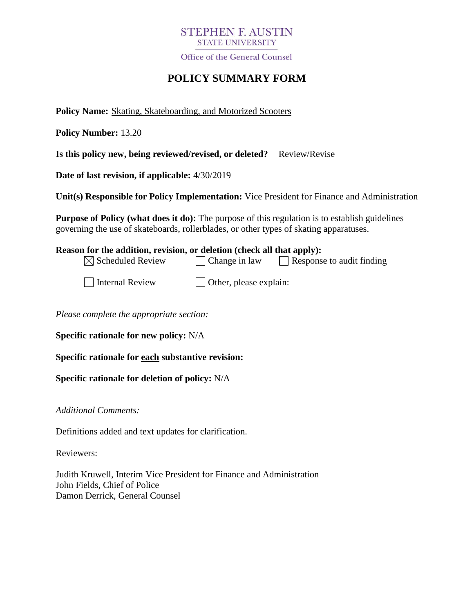## **STEPHEN F. AUSTIN STATE UNIVERSITY**

Office of the General Counsel

# **POLICY SUMMARY FORM**

**Policy Name:** Skating, Skateboarding, and Motorized Scooters

**Policy Number:** 13.20

**Is this policy new, being reviewed/revised, or deleted?** Review/Revise

**Date of last revision, if applicable:** 4/30/2019

**Unit(s) Responsible for Policy Implementation:** Vice President for Finance and Administration

**Purpose of Policy (what does it do):** The purpose of this regulation is to establish guidelines governing the use of skateboards, rollerblades, or other types of skating apparatuses.

## **Reason for the addition, revision, or deletion (check all that apply):**

| $\boxtimes$ Scheduled Review | $\Box$ Change in law | $\Box$ Response to audit finding |
|------------------------------|----------------------|----------------------------------|
|                              |                      |                                  |

explain:

| Internal Review | $\Box$ Other, please |
|-----------------|----------------------|
|-----------------|----------------------|

*Please complete the appropriate section:*

**Specific rationale for new policy:** N/A

**Specific rationale for each substantive revision:**

**Specific rationale for deletion of policy:** N/A

*Additional Comments:*

Definitions added and text updates for clarification.

Reviewers:

Judith Kruwell, Interim Vice President for Finance and Administration John Fields, Chief of Police Damon Derrick, General Counsel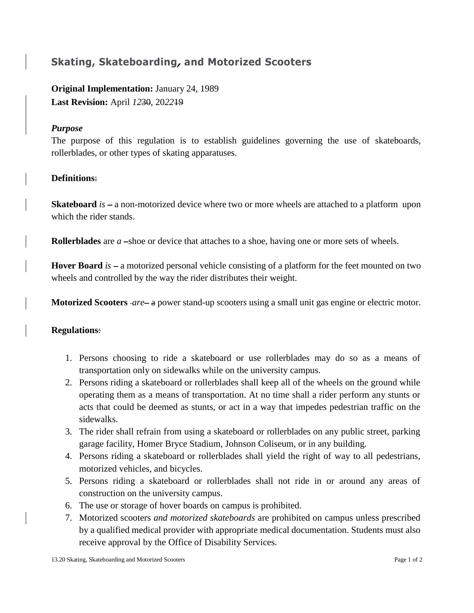## **Skating, Skateboarding, and Motorized Scooters**

**Original Implementation:** January 24, 1989 **Last Revision:** April *12*30, 20*22*19

#### *Purpose*

The purpose of this regulation is to establish guidelines governing the use of skateboards, rollerblades, or other types of skating apparatuses.

### **Definitions**:

**Skateboard** *is* – a non-motorized device where two or more wheels are attached to a platform upon which the rider stands.

**Rollerblades** are *a* –shoe or device that attaches to a shoe, having one or more sets of wheels.

**Hover Board** *is* – a motorized personal vehicle consisting of a platform for the feet mounted on two wheels and controlled by the way the rider distributes their weight.

**Motorized Scooters** *are*– a power stand-up scooter*s* using a small unit gas engine or electric motor.

### **Regulations**:

- 1. Persons choosing to ride a skateboard or use rollerblades may do so as a means of transportation only on sidewalks while on the university campus.
- 2. Persons riding a skateboard or rollerblades shall keep all of the wheels on the ground while operating them as a means of transportation. At no time shall a rider perform any stunts or acts that could be deemed as stunts, or act in a way that impedes pedestrian traffic on the sidewalks.
- 3. The rider shall refrain from using a skateboard or rollerblades on any public street, parking garage facility, Homer Bryce Stadium, Johnson Coliseum, or in any building.
- 4. Persons riding a skateboard or rollerblades shall yield the right of way to all pedestrians, motorized vehicles, and bicycles.
- 5. Persons riding a skateboard or rollerblades shall not ride in or around any areas of construction on the university campus.
- 6. The use or storage of hover boards on campus is prohibited.
- 7. Motorized scooters *and motorized skateboards* are prohibited on campus unless prescribed by a qualified medical provider with appropriate medical documentation. Students must also receive approval by the Office of Disability Services.